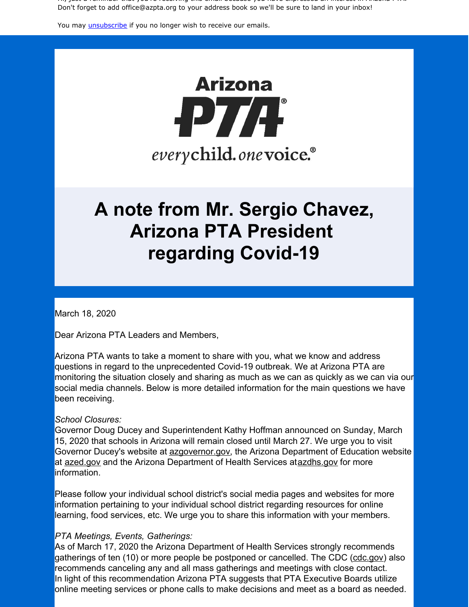Hi, just a reminder that you're receiving this email because you have expressed an interest in Arizona PTA. Don't forget to add office@azpta.org to your address book so we'll be sure to land in your inbox!

You may *[unsubscribe](https://visitor.constantcontact.com/do?p=un&m=0015Ls-oo8gf__TAtUBCd-drA%3D%3D&ch=&ca=b0d4d24c-49b1-4af8-af13-296d43a53543)* if you no longer wish to receive our emails.



# **A note from Mr. Sergio Chavez, Arizona PTA President regarding Covid-19**

March 18, 2020

Dear Arizona PTA Leaders and Members,

Arizona PTA wants to take a moment to share with you, what we know and address questions in regard to the unprecedented Covid-19 outbreak. We at Arizona PTA are monitoring the situation closely and sharing as much as we can as quickly as we can via our social media channels. Below is more detailed information for the main questions we have been receiving.

#### *School Closures:*

Governor Doug Ducey and Superintendent Kathy Hoffman announced on Sunday, March 15, 2020 that schools in Arizona will remain closed until March 27. We urge you to visit Governor Ducey's website at [azgovernor.gov](http://www.azgovernor.gov), the Arizona Department of Education website at [azed.gov](http://www.azed.gov) and the Arizona Department of Health Services at [azdhs.gov](http://www.azdhs.gov) for more information.

Please follow your individual school district's social media pages and websites for more information pertaining to your individual school district regarding resources for online learning, food services, etc. We urge you to share this information with your members.

#### *PTA Meetings, Events, Gatherings:*

As of March 17, 2020 the Arizona Department of Health Services strongly recommends gatherings of ten (10) or more people be postponed or cancelled. The CDC ([cdc.gov](http://www.cdc.gov)) also recommends canceling any and all mass gatherings and meetings with close contact. In light of this recommendation Arizona PTA suggests that PTA Executive Boards utilize online meeting services or phone calls to make decisions and meet as a board as needed.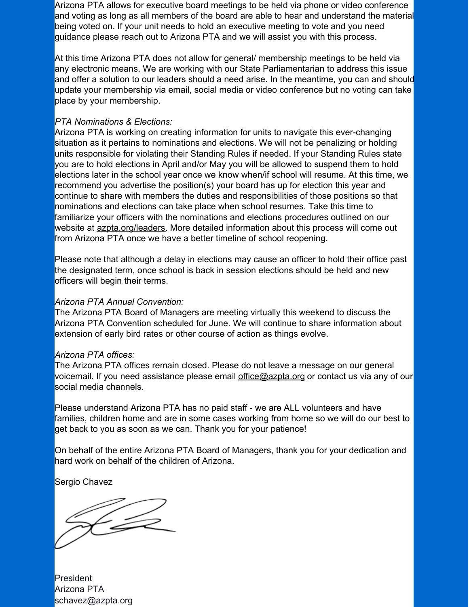Arizona PTA allows for executive board meetings to be held via phone or video conference and voting as long as all members of the board are able to hear and understand the material being voted on. If your unit needs to hold an executive meeting to vote and you need guidance please reach out to Arizona PTA and we will assist you with this process.

At this time Arizona PTA does not allow for general/ membership meetings to be held via any electronic means. We are working with our State Parliamentarian to address this issue and offer a solution to our leaders should a need arise. In the meantime, you can and should update your membership via email, social media or video conference but no voting can take place by your membership.

## *PTA Nominations & Elections:*

Arizona PTA is working on creating information for units to navigate this ever-changing situation as it pertains to nominations and elections. We will not be penalizing or holding units responsible for violating their Standing Rules if needed. If your Standing Rules state you are to hold elections in April and/or May you will be allowed to suspend them to hold elections later in the school year once we know when/if school will resume. At this time, we recommend you advertise the position(s) your board has up for election this year and continue to share with members the duties and responsibilities of those positions so that nominations and elections can take place when school resumes. Take this time to familiarize your officers with the nominations and elections procedures outlined on our website at **[azpta.org/leaders](http://www.azpta.org/leaders)**. More detailed information about this process will come out from Arizona PTA once we have a better timeline of school reopening.

Please note that although a delay in elections may cause an officer to hold their office past the designated term, once school is back in session elections should be held and new officers will begin their terms.

## *Arizona PTA Annual Convention:*

The Arizona PTA Board of Managers are meeting virtually this weekend to discuss the Arizona PTA Convention scheduled for June. We will continue to share information about extension of early bird rates or other course of action as things evolve.

### *Arizona PTA offices:*

The Arizona PTA offices remain closed. Please do not leave a message on our general voicemail. If you need assistance please email [office@azpta.org](mailto:office@azpta.org) or contact us via any of our social media channels.

Please understand Arizona PTA has no paid staff - we are ALL volunteers and have families, children home and are in some cases working from home so we will do our best to get back to you as soon as we can. Thank you for your patience!

On behalf of the entire Arizona PTA Board of Managers, thank you for your dedication and hard work on behalf of the children of Arizona.

Sergio Chavez

President Arizona PTA schavez@azpta.org